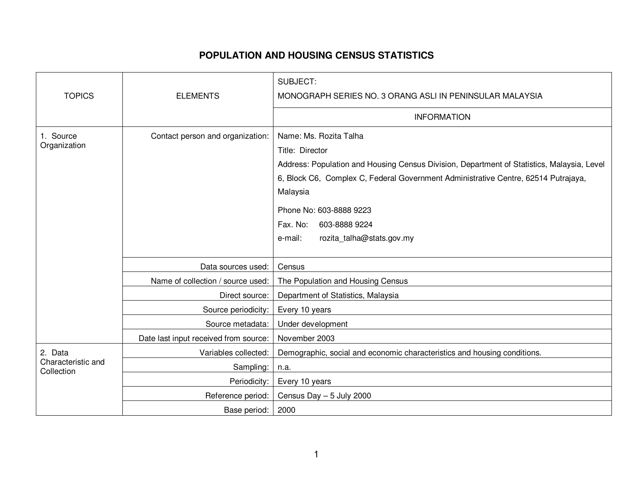## **POPULATION AND HOUSING CENSUS STATISTICS**

|                                             |                                       | <b>SUBJECT:</b>                                                                                                                                                                                                                                                                                                                           |
|---------------------------------------------|---------------------------------------|-------------------------------------------------------------------------------------------------------------------------------------------------------------------------------------------------------------------------------------------------------------------------------------------------------------------------------------------|
| <b>TOPICS</b>                               | <b>ELEMENTS</b>                       | MONOGRAPH SERIES NO. 3 ORANG ASLI IN PENINSULAR MALAYSIA                                                                                                                                                                                                                                                                                  |
|                                             |                                       | <b>INFORMATION</b>                                                                                                                                                                                                                                                                                                                        |
| 1. Source<br>Organization                   | Contact person and organization:      | Name: Ms. Rozita Talha<br>Title: Director<br>Address: Population and Housing Census Division, Department of Statistics, Malaysia, Level<br>6, Block C6, Complex C, Federal Government Administrative Centre, 62514 Putrajaya,<br>Malaysia<br>Phone No: 603-8888 9223<br>Fax. No:<br>603-8888 9224<br>rozita_talha@stats.gov.my<br>e-mail: |
|                                             | Data sources used:                    | Census                                                                                                                                                                                                                                                                                                                                    |
|                                             | Name of collection / source used:     | The Population and Housing Census                                                                                                                                                                                                                                                                                                         |
|                                             | Direct source:                        | Department of Statistics, Malaysia                                                                                                                                                                                                                                                                                                        |
|                                             | Source periodicity:                   | Every 10 years                                                                                                                                                                                                                                                                                                                            |
|                                             | Source metadata:                      | Under development                                                                                                                                                                                                                                                                                                                         |
|                                             | Date last input received from source: | November 2003                                                                                                                                                                                                                                                                                                                             |
| 2. Data<br>Characteristic and<br>Collection | Variables collected:                  | Demographic, social and economic characteristics and housing conditions.                                                                                                                                                                                                                                                                  |
|                                             | Sampling:                             | n.a.                                                                                                                                                                                                                                                                                                                                      |
|                                             | Periodicity:                          | Every 10 years                                                                                                                                                                                                                                                                                                                            |
|                                             | Reference period:                     | Census Day - 5 July 2000                                                                                                                                                                                                                                                                                                                  |
|                                             | Base period:                          | 2000                                                                                                                                                                                                                                                                                                                                      |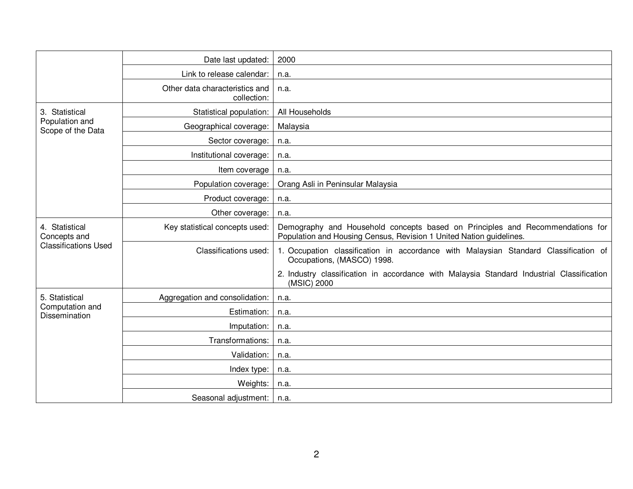|                                                               | Date last updated:                            | 2000                                                                                                                                                 |
|---------------------------------------------------------------|-----------------------------------------------|------------------------------------------------------------------------------------------------------------------------------------------------------|
|                                                               | Link to release calendar:                     | n.a.                                                                                                                                                 |
|                                                               | Other data characteristics and<br>collection: | n.a.                                                                                                                                                 |
| 3. Statistical<br>Population and<br>Scope of the Data         | Statistical population:                       | All Households                                                                                                                                       |
|                                                               | Geographical coverage:                        | Malaysia                                                                                                                                             |
|                                                               | Sector coverage:                              | n.a.                                                                                                                                                 |
|                                                               | Institutional coverage:                       | n.a.                                                                                                                                                 |
|                                                               | Item coverage                                 | n.a.                                                                                                                                                 |
|                                                               | Population coverage:                          | Orang Asli in Peninsular Malaysia                                                                                                                    |
|                                                               | Product coverage:                             | n.a.                                                                                                                                                 |
|                                                               | Other coverage:                               | n.a.                                                                                                                                                 |
| 4. Statistical<br>Concepts and<br><b>Classifications Used</b> | Key statistical concepts used:                | Demography and Household concepts based on Principles and Recommendations for<br>Population and Housing Census, Revision 1 United Nation guidelines. |
|                                                               | Classifications used:                         | 1. Occupation classification in accordance with Malaysian Standard Classification of<br>Occupations, (MASCO) 1998.                                   |
|                                                               |                                               | 2. Industry classification in accordance with Malaysia Standard Industrial Classification<br>(MSIC) 2000                                             |
| 5. Statistical<br>Computation and<br>Dissemination            | Aggregation and consolidation:                | n.a.                                                                                                                                                 |
|                                                               | Estimation:                                   | n.a.                                                                                                                                                 |
|                                                               | Imputation:                                   | n.a.                                                                                                                                                 |
|                                                               | Transformations:                              | n.a.                                                                                                                                                 |
|                                                               | Validation:                                   | n.a.                                                                                                                                                 |
|                                                               | Index type:                                   | n.a.                                                                                                                                                 |
|                                                               | Weights:                                      | n.a.                                                                                                                                                 |
|                                                               | Seasonal adjustment:                          | n.a.                                                                                                                                                 |